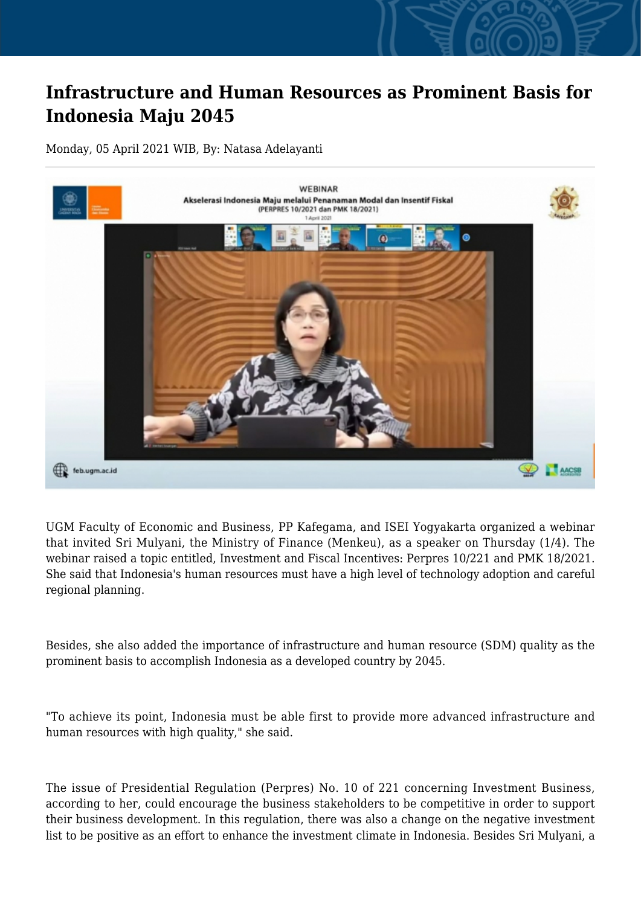## **Infrastructure and Human Resources as Prominent Basis for Indonesia Maju 2045**

Monday, 05 April 2021 WIB, By: Natasa Adelayanti



UGM Faculty of Economic and Business, PP Kafegama, and ISEI Yogyakarta organized a webinar that invited Sri Mulyani, the Ministry of Finance (Menkeu), as a speaker on Thursday (1/4). The webinar raised a topic entitled, Investment and Fiscal Incentives: Perpres 10/221 and PMK 18/2021. She said that Indonesia's human resources must have a high level of technology adoption and careful regional planning.

Besides, she also added the importance of infrastructure and human resource (SDM) quality as the prominent basis to accomplish Indonesia as a developed country by 2045.

"To achieve its point, Indonesia must be able first to provide more advanced infrastructure and human resources with high quality," she said.

The issue of Presidential Regulation (Perpres) No. 10 of 221 concerning Investment Business, according to her, could encourage the business stakeholders to be competitive in order to support their business development. In this regulation, there was also a change on the negative investment list to be positive as an effort to enhance the investment climate in Indonesia. Besides Sri Mulyani, a